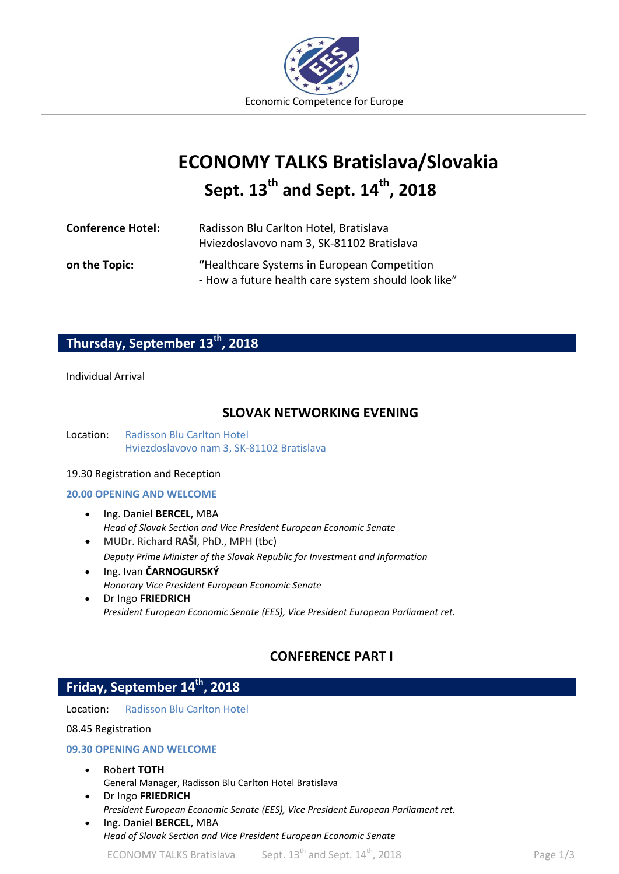

# **EES ECONOMY TALKS Bratislava/Slovakia Sept. 13th and Sept. 14th , 2018**

| <b>Conference Hotel:</b> | Radisson Blu Carlton Hotel, Bratislava<br>Hviezdoslavovo nam 3, SK-81102 Bratislava                |
|--------------------------|----------------------------------------------------------------------------------------------------|
| on the Topic:            | "Healthcare Systems in European Competition<br>- How a future health care system should look like" |

# **Thursday, September 13th, 2018**

## Individual Arrival

# **SLOVAK NETWORKING EVENING**

Location: Radisson Blu Carlton Hotel Hviezdoslavovo nam 3, SK-81102 Bratislava

## 19.30 Registration and Reception

#### **20.00 OPENING AND WELCOME**

- $\bullet$  Ing. Daniel **BERCEL**, MBA *Head of Slovak Section and Vice President European Economic Senate*
- MUDr. Richard **RAŠI**, PhD., MPH (tbc) *Deputy Prime Minister of the Slovak Republic for Investment and Information*
- Ing. Ivan **ČARNOGURSKÝ** *Honorary Vice President European Economic Senate*
- Dr Ingo **FRIEDRICH** *President European Economic Senate (EES), Vice President European Parliament ret.*

# **CONFERENCE PART I**

# **Friday, September 14th, 2018**

Location: Radisson Blu Carlton Hotel

# 08.45 Registration

# **09.30 OPENING AND WELCOME**

- Robert **TOTH** General Manager, Radisson Blu Carlton Hotel Bratislava
- Dr Ingo **FRIEDRICH** *President European Economic Senate (EES), Vice President European Parliament ret.*
- Ing. Daniel **BERCEL**, MBA *Head of Slovak Section and Vice President European Economic Senate*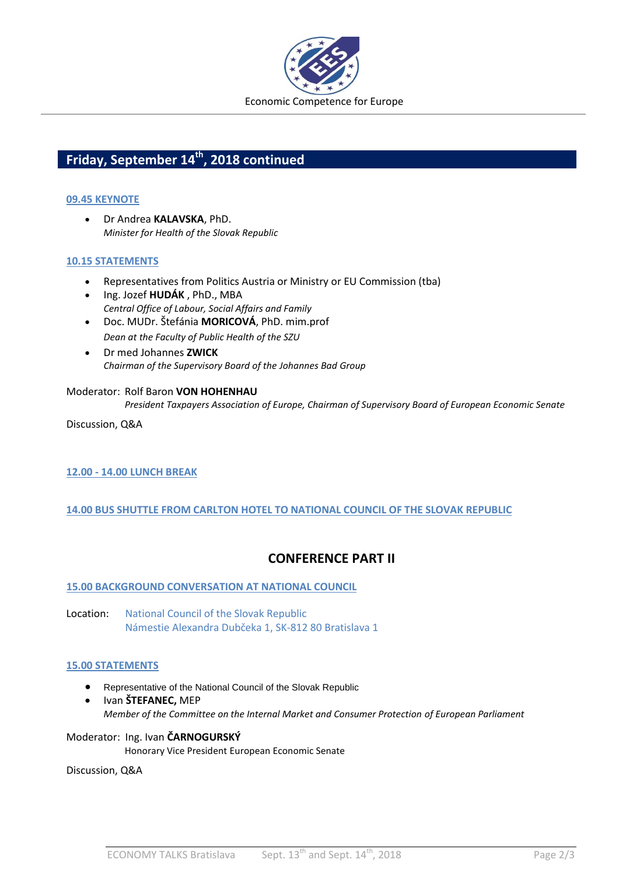

# **Friday, September 14th, 2018 continued**

# **09.45 KEYNOTE**

 Dr Andrea **KALAVSKA**, PhD. *Minister for Health of the Slovak Republic*

# **10.15 STATEMENTS**

- Representatives from Politics Austria or Ministry or EU Commission (tba)
- Ing. Jozef **HUDÁK** , PhD., MBA *Central Office of Labour, Social Affairs and Family*
- Doc. MUDr. Štefánia **MORICOVÁ**, PhD. mim.prof *Dean at the Faculty of Public Health of the SZU*
- Dr med Johannes **ZWICK**  *Chairman of the Supervisory Board of the Johannes Bad Group*

## Moderator: Rolf Baron **VON HOHENHAU**

*President Taxpayers Association of Europe, Chairman of Supervisory Board of European Economic Senate*

Discussion, Q&A

# **12.00 - 14.00 LUNCH BREAK**

# **14.00 BUS SHUTTLE FROM CARLTON HOTEL TO NATIONAL COUNCIL OF THE SLOVAK REPUBLIC**

# **CONFERENCE PART II**

# **15.00 BACKGROUND CONVERSATION AT NATIONAL COUNCIL**

Location: National Council of the Slovak Republic Námestie Alexandra Dubčeka 1, SK-812 80 Bratislava 1

# **15.00 STATEMENTS**

- Representative of the National Council of the Slovak Republic
- Ivan **ŠTEFANEC,** MEP *Member of the Committee on the Internal Market and Consumer Protection of European Parliament*

Moderator: Ing. Ivan **ČARNOGURSKÝ** Honorary Vice President European Economic Senate

Discussion, Q&A